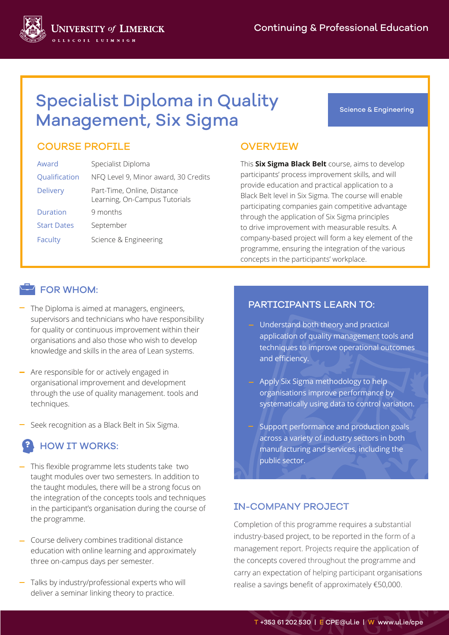Science & Engineering



### COURSE PROFILE OVERVIEW

| Award              | Specialist Diploma                                           |
|--------------------|--------------------------------------------------------------|
| Qualification      | NFQ Level 9, Minor award, 30 Credits                         |
| <b>Delivery</b>    | Part-Time, Online, Distance<br>Learning, On-Campus Tutorials |
| Duration           | 9 months                                                     |
| <b>Start Dates</b> | September                                                    |
| Faculty            | Science & Engineering                                        |

**JNIVERSITY of LIMERICK** 

This **Six Sigma Black Belt** course, aims to develop participants' process improvement skills, and will provide education and practical application to a Black Belt level in Six Sigma. The course will enable participating companies gain competitive advantage through the application of Six Sigma principles to drive improvement with measurable results. A company-based project will form a key element of the programme, ensuring the integration of the various concepts in the participants' workplace.

#### **FOR WHOM:**

- The Diploma is aimed at managers, engineers, **EXALL PARTICIPANTS LEARN TO:** supervisors and technicians who have responsibility for quality or continuous improvement within their organisations and also those who wish to develop knowledge and skills in the area of Lean systems.
- Are responsible for or actively engaged in organisational improvement and development through the use of quality management. tools and techniques.
- Seek recognition as a Black Belt in Six Sigma.

# HOW IT WORKS:

- This flexible programme lets students take two taught modules over two semesters. In addition to the taught modules, there will be a strong focus on the integration of the concepts tools and techniques in the participant's organisation during the course of the programme.
- Course delivery combines traditional distance education with online learning and approximately three on-campus days per semester.
- Talks by industry/professional experts who will deliver a seminar linking theory to practice.

- Understand both theory and practical application of quality management tools and techniques to improve operational outcomes and efficiency.
- Apply Six Sigma methodology to help organisations improve performance by systematically using data to control variation.
- Support performance and production goals across a variety of industry sectors in both manufacturing and services, including the public sector.

#### IN-COMPANY PROJECT

Completion of this programme requires a substantial industry-based project, to be reported in the form of a management report. Projects require the application of the concepts covered throughout the programme and carry an expectation of helping participant organisations realise a savings benefit of approximately €50,000.